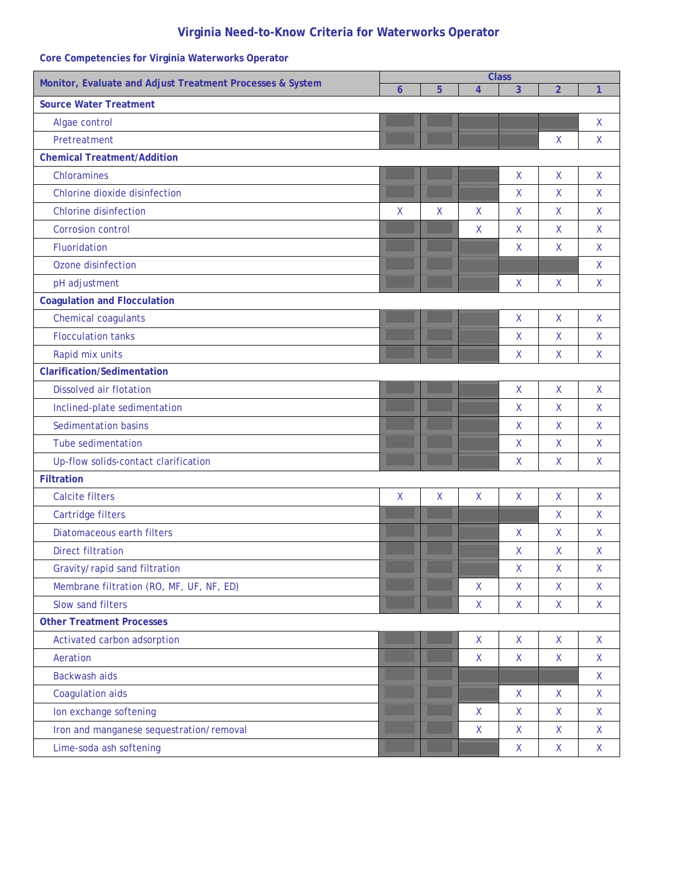# **Virginia Need-to-Know Criteria for Waterworks Operator**

| Monitor, Evaluate and Adjust Treatment Processes & System | <b>Class</b> |   |                    |              |                                                     |              |
|-----------------------------------------------------------|--------------|---|--------------------|--------------|-----------------------------------------------------|--------------|
|                                                           | 6            | 5 | $\overline{4}$     | 3            | $\overline{2}$                                      | $\mathbf{1}$ |
| <b>Source Water Treatment</b>                             |              |   |                    |              |                                                     |              |
| Algae control                                             |              |   |                    |              |                                                     | X            |
| Pretreatment                                              |              |   |                    |              | Χ                                                   | X            |
| <b>Chemical Treatment/Addition</b>                        |              |   |                    |              |                                                     |              |
| Chloramines                                               |              |   |                    | X            | X                                                   | X            |
| Chlorine dioxide disinfection                             |              |   |                    | X            | X                                                   | X            |
| <b>Chlorine disinfection</b>                              | $\mathsf{X}$ | Χ | $\mathsf{X}$       | X            | X                                                   | X            |
| <b>Corrosion control</b>                                  |              |   | X                  | X            | $\mathsf X$                                         | X            |
| Fluoridation                                              |              |   |                    | $\mathsf{X}$ | $\mathsf{X}$                                        | X            |
| Ozone disinfection                                        |              |   |                    |              |                                                     | X            |
| pH adjustment                                             |              |   |                    | X            | Χ                                                   | X            |
| <b>Coagulation and Flocculation</b>                       |              |   |                    |              |                                                     |              |
| Chemical coagulants                                       |              |   |                    | X            | X                                                   | X            |
| <b>Flocculation tanks</b>                                 |              |   |                    | X            | X                                                   | X            |
| Rapid mix units                                           |              |   |                    | $\mathsf X$  | $\mathsf X$                                         | X            |
| <b>Clarification/Sedimentation</b>                        |              |   |                    |              |                                                     |              |
| <b>Dissolved air flotation</b>                            |              |   |                    | X            | $\pmb{\mathsf{X}}$                                  | X            |
| Inclined-plate sedimentation                              |              |   |                    | $\mathsf X$  | $\sf X$                                             | X            |
| <b>Sedimentation basins</b>                               |              |   |                    | X            | $\mathsf{X}$                                        | X            |
| <b>Tube sedimentation</b>                                 |              |   |                    | X            | $\mathsf X$                                         | X            |
| Up-flow solids-contact clarification                      |              |   |                    | $\mathsf{X}$ | $\mathsf X$                                         | X            |
| <b>Filtration</b>                                         |              |   |                    |              |                                                     |              |
| <b>Calcite filters</b>                                    | X            | X | $\pmb{\mathsf{X}}$ | $\mathsf X$  | $\pmb{\mathsf{X}}$                                  | X            |
| Cartridge filters                                         |              |   |                    |              | $\mathsf X$                                         | X            |
| Diatomaceous earth filters                                |              |   |                    | X            | X                                                   | X.           |
| <b>Direct filtration</b>                                  |              |   |                    | $\mathsf X$  | X                                                   | X            |
| Gravity/rapid sand filtration                             |              |   |                    | Χ            | Χ                                                   | Χ            |
| Membrane filtration (RO, MF, UF, NF, ED)                  |              |   | $\mathsf{X}$       | $\mathsf{X}$ | X                                                   | $\mathsf{X}$ |
| Slow sand filters                                         |              |   | $\mathsf{X}$       | $\mathsf{X}$ | $\mathsf{X}$                                        | $\mathsf{X}$ |
| <b>Other Treatment Processes</b>                          |              |   |                    |              |                                                     |              |
| Activated carbon adsorption                               |              |   | $\mathsf X$        | X            | $\mathsf{X}$                                        | $\mathsf{X}$ |
| Aeration                                                  |              |   | $\mathsf{X}$       | $\mathsf{X}$ | $\mathsf{X}$                                        | $\mathsf{X}$ |
| <b>Backwash aids</b>                                      |              |   |                    |              |                                                     | X            |
| Coagulation aids                                          |              |   |                    | X            | X                                                   | X            |
| Ion exchange softening                                    |              |   | $\mathsf{X}$       | $\mathsf{X}$ | X                                                   | $\mathsf{X}$ |
| Iron and manganese sequestration/removal                  |              |   | $\mathsf{X}$       | $\mathsf{X}$ | $\mathsf{X}% _{0}^{\prime}=\mathsf{X}_{0}^{\prime}$ | $\mathsf{X}$ |
| Lime-soda ash softening                                   |              |   |                    | $\mathsf{X}$ | $\mathsf{X}$                                        | X            |

# **Core Competencies for Virginia Waterworks Operator**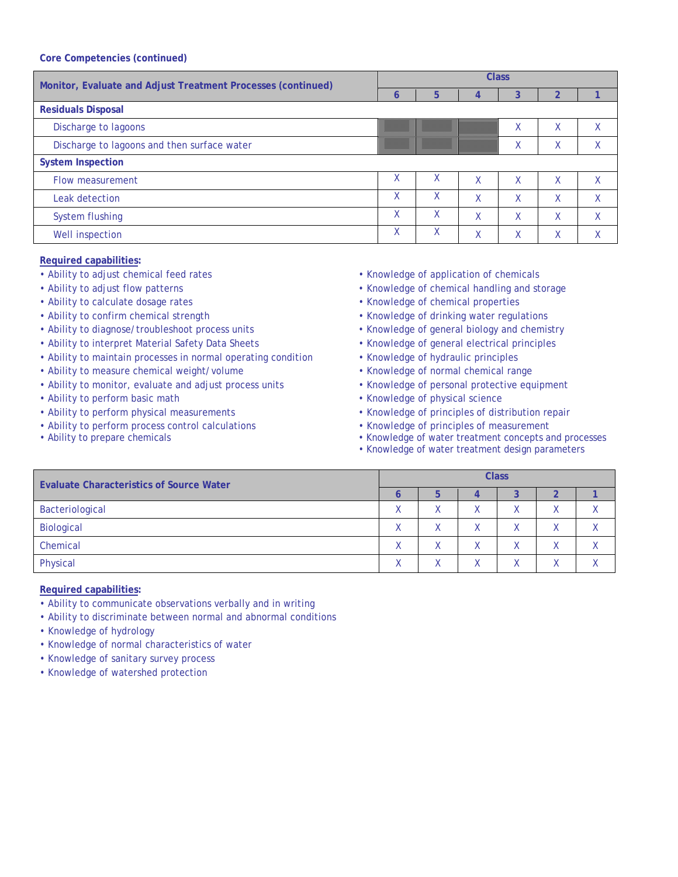| Monitor, Evaluate and Adjust Treatment Processes (continued) | <b>Class</b> |   |   |                           |                   |   |  |  |  |
|--------------------------------------------------------------|--------------|---|---|---------------------------|-------------------|---|--|--|--|
|                                                              | Õ            | 5 |   |                           |                   |   |  |  |  |
| <b>Residuals Disposal</b>                                    |              |   |   |                           |                   |   |  |  |  |
| Discharge to lagoons                                         |              |   |   | $\lambda$                 | Χ                 |   |  |  |  |
| Discharge to lagoons and then surface water                  |              |   |   | v<br>$\lambda$            | v<br>$\lambda$    |   |  |  |  |
| <b>System Inspection</b>                                     |              |   |   |                           |                   |   |  |  |  |
| Flow measurement                                             | χ            | X | χ | $\checkmark$<br>$\lambda$ | χ                 | X |  |  |  |
| Leak detection                                               | χ            | Χ | χ | v                         | χ                 | χ |  |  |  |
| System flushing                                              | χ            | X | X | $\checkmark$<br>Λ         | $\checkmark$<br>v | X |  |  |  |
| Well inspection                                              | χ            | χ | χ | $\checkmark$<br>Λ         | v<br>∧            | v |  |  |  |

#### **Required capabilities:**

- Ability to adjust chemical feed rates  **Knowledge of application of chemicals**
- 
- 
- 
- 
- Ability to interpret Material Safety Data Sheets Knowledge of general electrical principles
- Ability to maintain processes in normal operating condition Knowledge of hydraulic principles
- Ability to measure chemical weight/volume Network Knowledge of normal chemical range
- Ability to monitor, evaluate and adjust process units Knowledge of personal protective equipment
- 
- 
- Ability to perform process control calculations Knowledge of principles of measurement
- 
- 
- Ability to adjust flow patterns  **Knowledge of chemical handling and storage**
- Ability to calculate dosage rates Knowledge of chemical properties
- Ability to confirm chemical strength Knowledge of drinking water regulations
- Ability to diagnose/troubleshoot process units Knowledge of general biology and chemistry
	-
	-
	-
	-
- Ability to perform basic math **•** Knowledge of physical science
- Ability to perform physical measurements  **Knowledge of principles of distribution repair** 
	-
- Ability to prepare chemicals Knowledge of water treatment concepts and processes
	- Knowledge of water treatment design parameters

| <b>Evaluate Characteristics of Source Water</b> | <b>Class</b> |                  |  |   |  |  |  |  |  |
|-------------------------------------------------|--------------|------------------|--|---|--|--|--|--|--|
|                                                 |              |                  |  |   |  |  |  |  |  |
| Bacteriological                                 |              | $\mathbf v$<br>Λ |  | ν |  |  |  |  |  |
| Biological                                      | v            | v                |  | v |  |  |  |  |  |
| Chemical                                        |              | v                |  | v |  |  |  |  |  |
| Physical                                        |              | v                |  |   |  |  |  |  |  |

- Ability to communicate observations verbally and in writing
- Ability to discriminate between normal and abnormal conditions
- Knowledge of hydrology
- Knowledge of normal characteristics of water
- Knowledge of sanitary survey process
- Knowledge of watershed protection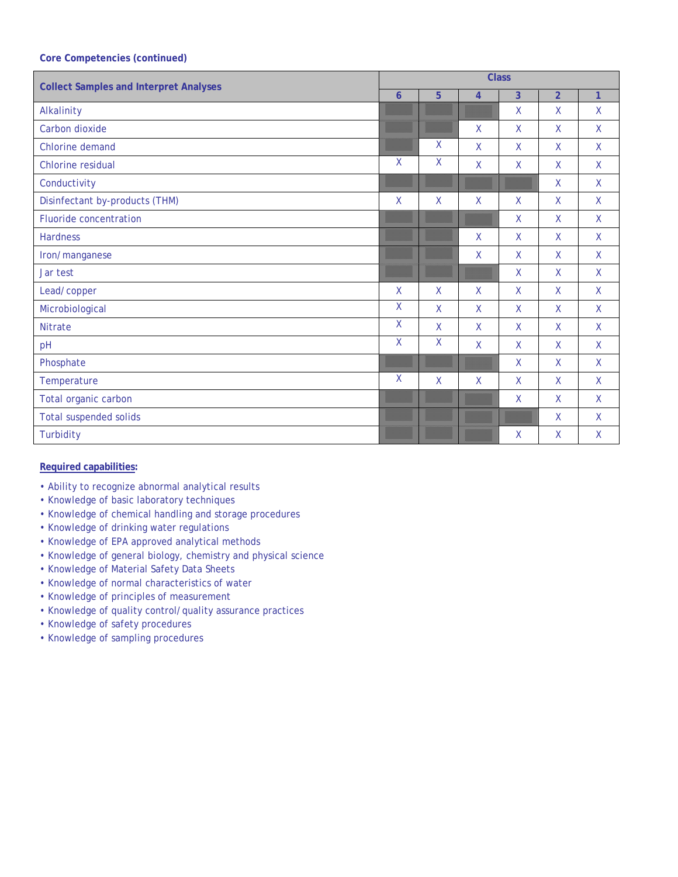| <b>Collect Samples and Interpret Analyses</b> |                | <b>Class</b> |                |              |                |              |  |  |  |
|-----------------------------------------------|----------------|--------------|----------------|--------------|----------------|--------------|--|--|--|
|                                               | $\overline{6}$ | 5            | $\overline{4}$ | 3            | $\overline{2}$ | $\mathbf{1}$ |  |  |  |
| Alkalinity                                    |                |              |                | X            | X              | X            |  |  |  |
| Carbon dioxide                                |                |              | $\mathsf{X}$   | X            | X              | X            |  |  |  |
| Chlorine demand                               |                | X            | $\mathsf{X}$   | X            | X              | X            |  |  |  |
| Chlorine residual                             | X              | $\mathsf X$  | $\mathsf{X}$   | $\mathsf X$  | $\mathsf{X}$   | $\mathsf{X}$ |  |  |  |
| Conductivity                                  |                |              |                |              | X              | X            |  |  |  |
| Disinfectant by-products (THM)                | $\sf X$        | X            | $\mathsf{X}$   | X            | X              | X            |  |  |  |
| Fluoride concentration                        |                |              |                | X            | X              | X            |  |  |  |
| <b>Hardness</b>                               |                |              | $\mathsf{X}$   | X            | X              | X.           |  |  |  |
| Iron/manganese                                |                |              | $\mathsf{X}$   | X            | $\mathsf{X}$   | X            |  |  |  |
| Jar test                                      |                |              |                | $\mathsf{X}$ | X              | X            |  |  |  |
| Lead/copper                                   | X              | X            | $\sf X$        | $\mathsf{X}$ | X              | X            |  |  |  |
| Microbiological                               | X              | X            | $\mathsf{X}$   | $\mathsf{X}$ | $\mathsf{X}$   | X            |  |  |  |
| <b>Nitrate</b>                                | $\mathsf{X}$   | X            | $\mathsf{X}$   | X            | X              | X            |  |  |  |
| pH                                            | X              | $\mathsf{X}$ | $\mathsf{X}$   | $\mathsf{X}$ | $\mathsf{X}$   | $\mathsf{X}$ |  |  |  |
| Phosphate                                     |                |              |                | X            | X              | $\mathsf{X}$ |  |  |  |
| Temperature                                   | $\sf X$        | X            | $\mathsf{X}$   | X            | X              | X            |  |  |  |
| Total organic carbon                          |                |              |                | X            | $\mathsf{X}$   | $\mathsf{X}$ |  |  |  |
| <b>Total suspended solids</b>                 |                |              |                |              | X              | X            |  |  |  |
| Turbidity                                     |                |              |                | X            | X              | X            |  |  |  |

- Ability to recognize abnormal analytical results
- Knowledge of basic laboratory techniques
- Knowledge of chemical handling and storage procedures
- Knowledge of drinking water regulations
- Knowledge of EPA approved analytical methods
- Knowledge of general biology, chemistry and physical science
- Knowledge of Material Safety Data Sheets
- Knowledge of normal characteristics of water
- Knowledge of principles of measurement
- Knowledge of quality control/quality assurance practices
- Knowledge of safety procedures
- Knowledge of sampling procedures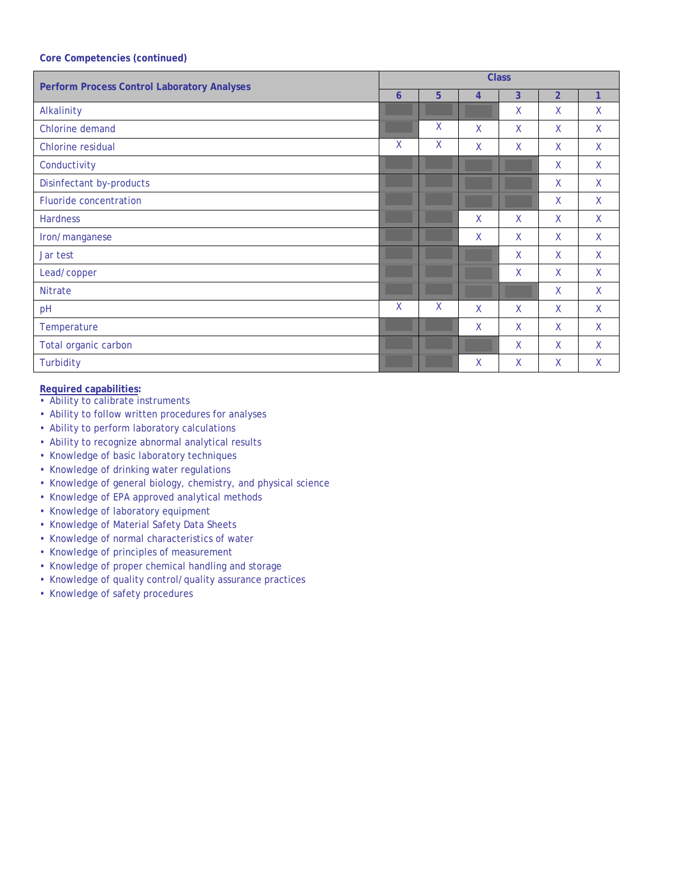| <b>Perform Process Control Laboratory Analyses</b> | <b>Class</b> |   |                |                |                |             |  |  |
|----------------------------------------------------|--------------|---|----------------|----------------|----------------|-------------|--|--|
|                                                    | $\mathbf 6$  | 5 | $\overline{4}$ | $\overline{3}$ | $\overline{2}$ | 1           |  |  |
| Alkalinity                                         |              |   |                | X              | X              | X           |  |  |
| Chlorine demand                                    |              | X | X              | X              | $\mathsf{X}$   | X           |  |  |
| Chlorine residual                                  | $\mathsf{X}$ | X | X              | X              | $\sf X$        | X           |  |  |
| Conductivity                                       |              |   |                |                | $\sf X$        | X           |  |  |
| Disinfectant by-products                           |              |   |                |                | $\mathsf{X}$   | X           |  |  |
| Fluoride concentration                             |              |   |                |                | $\mathsf{X}$   | X           |  |  |
| Hardness                                           |              |   | $\mathsf{X}$   | X              | $\mathsf{X}$   | X           |  |  |
| Iron/manganese                                     |              |   | X              | X              | $\mathsf{X}$   | X           |  |  |
| Jar test                                           |              |   |                | X              | $\mathsf{X}$   | X           |  |  |
| Lead/copper                                        |              |   |                | X              | $\mathsf{X}$   | X           |  |  |
| <b>Nitrate</b>                                     |              |   |                |                | X              | X           |  |  |
| pH                                                 | $\mathsf{X}$ | X | X              | X              | $\mathsf{X}$   | X           |  |  |
| Temperature                                        |              |   | $\mathsf{X}$   | X              | $\mathsf{X}$   | X           |  |  |
| Total organic carbon                               |              |   |                | X              | X              | X           |  |  |
| Turbidity                                          |              |   | X              | X              | X              | $\mathsf X$ |  |  |

- Ability to calibrate instruments
- Ability to follow written procedures for analyses
- Ability to perform laboratory calculations
- Ability to recognize abnormal analytical results
- Knowledge of basic laboratory techniques
- Knowledge of drinking water regulations
- Knowledge of general biology, chemistry, and physical science
- Knowledge of EPA approved analytical methods
- Knowledge of laboratory equipment
- Knowledge of Material Safety Data Sheets
- Knowledge of normal characteristics of water
- Knowledge of principles of measurement
- Knowledge of proper chemical handling and storage
- Knowledge of quality control/quality assurance practices
- Knowledge of safety procedures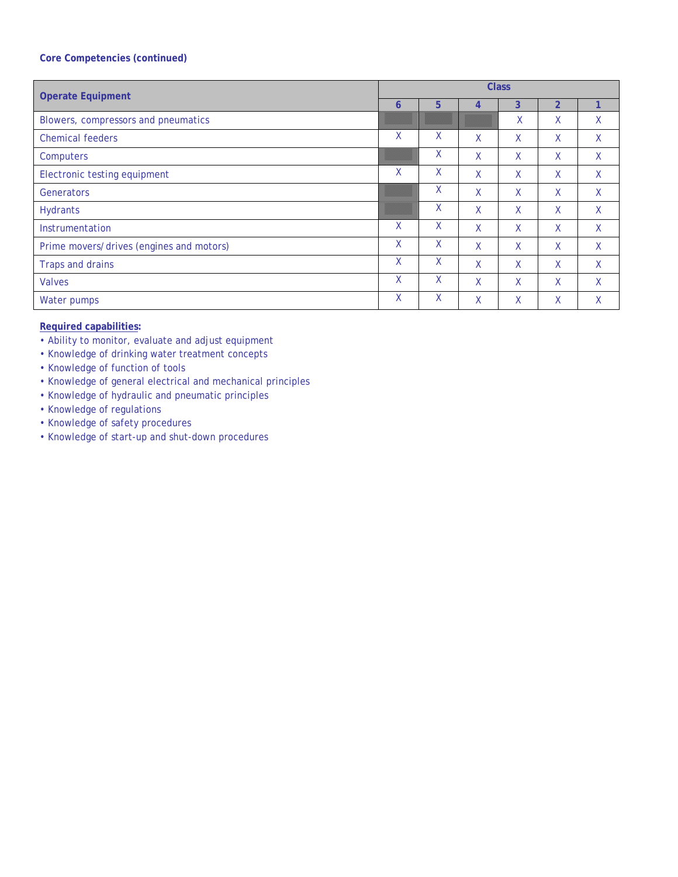| <b>Operate Equipment</b>                 | <b>Class</b> |              |   |   |                |    |  |  |  |
|------------------------------------------|--------------|--------------|---|---|----------------|----|--|--|--|
|                                          | 6            | 5            | 4 | 3 | $\overline{2}$ | 1  |  |  |  |
| Blowers, compressors and pneumatics      |              |              |   | Χ | Χ              | X  |  |  |  |
| <b>Chemical feeders</b>                  | X            | X            | X | X | Χ              | X  |  |  |  |
| Computers                                |              | X            | Χ | X | Χ              | X  |  |  |  |
| Electronic testing equipment             | X            | X            | X | X | X              | X. |  |  |  |
| Generators                               |              | X            | X | X | X              | X  |  |  |  |
| <b>Hydrants</b>                          |              | X            | X | X | X              | X  |  |  |  |
| Instrumentation                          | X            | $\mathsf{X}$ | X | X | X              | X  |  |  |  |
| Prime movers/drives (engines and motors) | X            | $\mathsf{X}$ | X | X | X              | X  |  |  |  |
| Traps and drains                         | X            | X            | X | X | X              | X  |  |  |  |
| <b>Valves</b>                            | X            | X            | X | X | X              | X  |  |  |  |
| Water pumps                              | X            | $\mathsf{X}$ | X | X | X              | Χ  |  |  |  |

- Ability to monitor, evaluate and adjust equipment
- Knowledge of drinking water treatment concepts
- Knowledge of function of tools
- Knowledge of general electrical and mechanical principles
- Knowledge of hydraulic and pneumatic principles
- Knowledge of regulations
- Knowledge of safety procedures
- Knowledge of start-up and shut-down procedures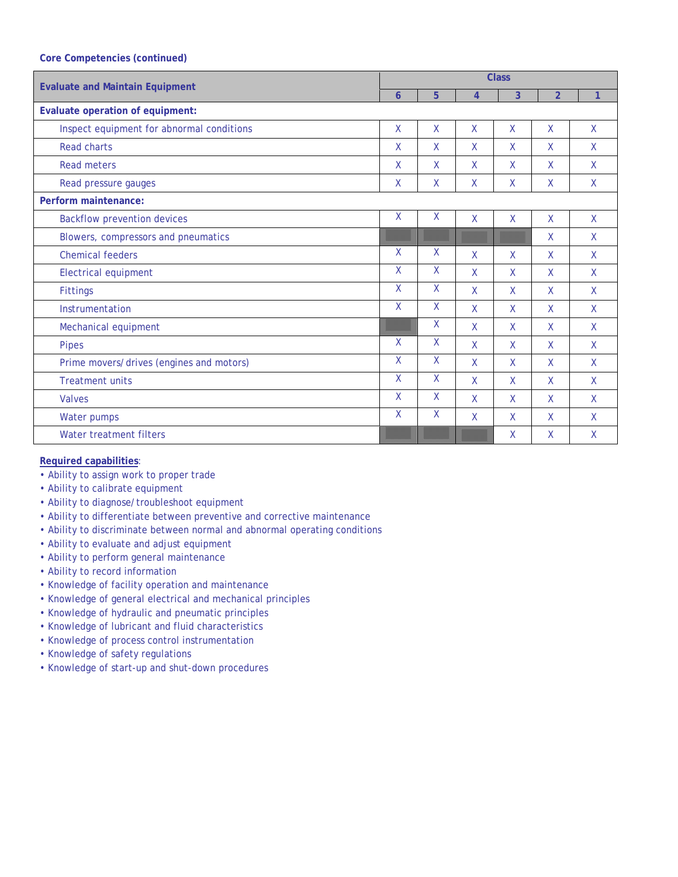| <b>Evaluate and Maintain Equipment</b>    | <b>Class</b> |              |              |    |                |              |  |  |
|-------------------------------------------|--------------|--------------|--------------|----|----------------|--------------|--|--|
|                                           | 6            | 5            | 4            | 3  | $\overline{2}$ | 1            |  |  |
| Evaluate operation of equipment:          |              |              |              |    |                |              |  |  |
| Inspect equipment for abnormal conditions | $\mathsf{X}$ | X            | $\mathsf{X}$ | X  | X              | X            |  |  |
| <b>Read charts</b>                        | $\mathsf{X}$ | X            | $\mathsf{X}$ | X  | $\mathsf{X}$   | X            |  |  |
| <b>Read meters</b>                        | $\mathsf{X}$ | X            | $\mathsf{X}$ | X  | X              | X            |  |  |
| Read pressure gauges                      | X            | X            | $\mathsf{X}$ | X  | X              | X            |  |  |
| Perform maintenance:                      |              |              |              |    |                |              |  |  |
| <b>Backflow prevention devices</b>        | $\mathsf{X}$ | X            | $\mathsf{X}$ | X  | X              | $\mathsf{X}$ |  |  |
| Blowers, compressors and pneumatics       |              |              |              |    | X              | X            |  |  |
| <b>Chemical feeders</b>                   | X            | X            | $\mathsf{X}$ | X  | X              | X            |  |  |
| Electrical equipment                      | $\sf X$      | X            | $\mathsf{X}$ | X  | $\mathsf{X}$   | $\mathsf{X}$ |  |  |
| <b>Fittings</b>                           | $\mathsf{X}$ | X            | $\mathsf{X}$ | X. | X              | X            |  |  |
| Instrumentation                           | $\mathsf{X}$ | X            | $\mathsf{X}$ | X  | $\mathsf{X}$   | X            |  |  |
| Mechanical equipment                      |              | X            | X            | X  | X              | $\mathsf{X}$ |  |  |
| <b>Pipes</b>                              | $\mathsf{X}$ | X            | $\mathsf{X}$ | X  | $\mathsf{X}$   | $\mathsf{X}$ |  |  |
| Prime movers/drives (engines and motors)  | $\mathsf{X}$ | X            | $\mathsf{X}$ | X  | X              | $\mathsf{X}$ |  |  |
| <b>Treatment units</b>                    | $\mathsf{X}$ | $\mathsf{X}$ | $\mathsf{X}$ | X  | X              | X            |  |  |
| <b>Valves</b>                             | $\sf X$      | X            | $\mathsf{X}$ | X  | $\mathsf{X}$   | X            |  |  |
| Water pumps                               | $\mathsf{X}$ | $\mathsf{X}$ | $\mathsf{X}$ | X  | X              | X            |  |  |
| Water treatment filters                   |              |              |              | X  | $\mathsf{X}$   | X            |  |  |

- Ability to assign work to proper trade
- Ability to calibrate equipment
- Ability to diagnose/troubleshoot equipment
- Ability to differentiate between preventive and corrective maintenance
- Ability to discriminate between normal and abnormal operating conditions
- Ability to evaluate and adjust equipment
- Ability to perform general maintenance
- Ability to record information
- Knowledge of facility operation and maintenance
- Knowledge of general electrical and mechanical principles
- Knowledge of hydraulic and pneumatic principles
- Knowledge of lubricant and fluid characteristics
- Knowledge of process control instrumentation
- Knowledge of safety regulations
- Knowledge of start-up and shut-down procedures